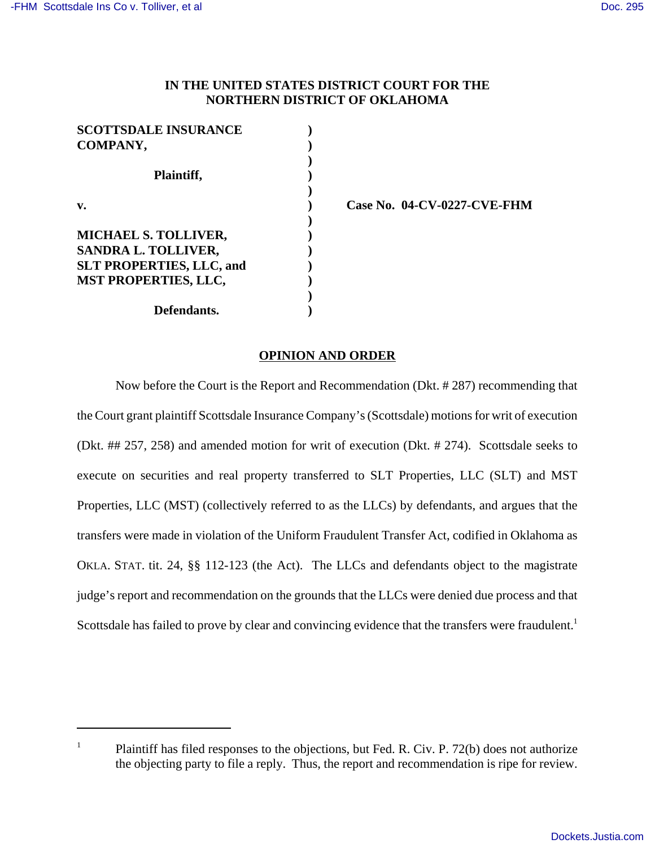## **IN THE UNITED STATES DISTRICT COURT FOR THE NORTHERN DISTRICT OF OKLAHOMA**

| <b>SCOTTSDALE INSURANCE</b>     |  |
|---------------------------------|--|
| COMPANY,                        |  |
|                                 |  |
| Plaintiff,                      |  |
|                                 |  |
| v.                              |  |
|                                 |  |
| <b>MICHAEL S. TOLLIVER,</b>     |  |
| SANDRA L. TOLLIVER,             |  |
| <b>SLT PROPERTIES, LLC, and</b> |  |
| <b>MST PROPERTIES, LLC,</b>     |  |
|                                 |  |
| Defendants.                     |  |

**v. ) Case No. 04-CV-0227-CVE-FHM**

## **OPINION AND ORDER**

Now before the Court is the Report and Recommendation (Dkt. # 287) recommending that the Court grant plaintiff Scottsdale Insurance Company's (Scottsdale) motions for writ of execution (Dkt. ## 257, 258) and amended motion for writ of execution (Dkt. # 274). Scottsdale seeks to execute on securities and real property transferred to SLT Properties, LLC (SLT) and MST Properties, LLC (MST) (collectively referred to as the LLCs) by defendants, and argues that the transfers were made in violation of the Uniform Fraudulent Transfer Act, codified in Oklahoma as OKLA. STAT. tit. 24, §§ 112-123 (the Act). The LLCs and defendants object to the magistrate judge's report and recommendation on the grounds that the LLCs were denied due process and that Scottsdale has failed to prove by clear and convincing evidence that the transfers were fraudulent.<sup>1</sup>

<sup>&</sup>lt;sup>1</sup> Plaintiff has filed responses to the objections, but Fed. R. Civ. P. 72(b) does not authorize the objecting party to file a reply. Thus, the report and recommendation is ripe for review.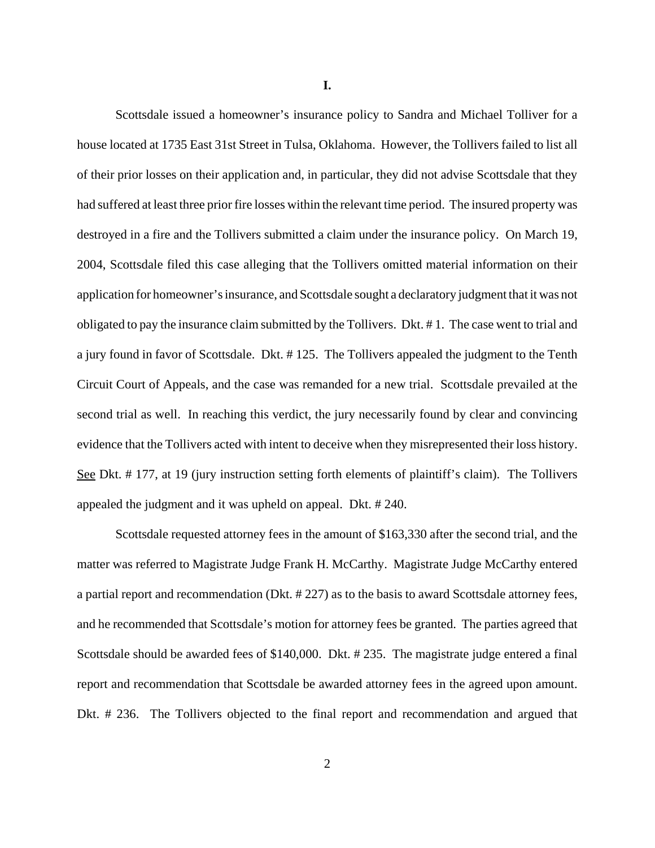**I.**

Scottsdale issued a homeowner's insurance policy to Sandra and Michael Tolliver for a house located at 1735 East 31st Street in Tulsa, Oklahoma. However, the Tollivers failed to list all of their prior losses on their application and, in particular, they did not advise Scottsdale that they had suffered at least three prior fire losses within the relevant time period. The insured property was destroyed in a fire and the Tollivers submitted a claim under the insurance policy. On March 19, 2004, Scottsdale filed this case alleging that the Tollivers omitted material information on their application for homeowner's insurance, and Scottsdale sought a declaratory judgment that it was not obligated to pay the insurance claim submitted by the Tollivers. Dkt. # 1. The case went to trial and a jury found in favor of Scottsdale. Dkt. # 125. The Tollivers appealed the judgment to the Tenth Circuit Court of Appeals, and the case was remanded for a new trial. Scottsdale prevailed at the second trial as well. In reaching this verdict, the jury necessarily found by clear and convincing evidence that the Tollivers acted with intent to deceive when they misrepresented their loss history. See Dkt. # 177, at 19 (jury instruction setting forth elements of plaintiff's claim). The Tollivers appealed the judgment and it was upheld on appeal. Dkt. # 240.

Scottsdale requested attorney fees in the amount of \$163,330 after the second trial, and the matter was referred to Magistrate Judge Frank H. McCarthy. Magistrate Judge McCarthy entered a partial report and recommendation (Dkt. # 227) as to the basis to award Scottsdale attorney fees, and he recommended that Scottsdale's motion for attorney fees be granted. The parties agreed that Scottsdale should be awarded fees of \$140,000. Dkt. # 235. The magistrate judge entered a final report and recommendation that Scottsdale be awarded attorney fees in the agreed upon amount. Dkt. # 236. The Tollivers objected to the final report and recommendation and argued that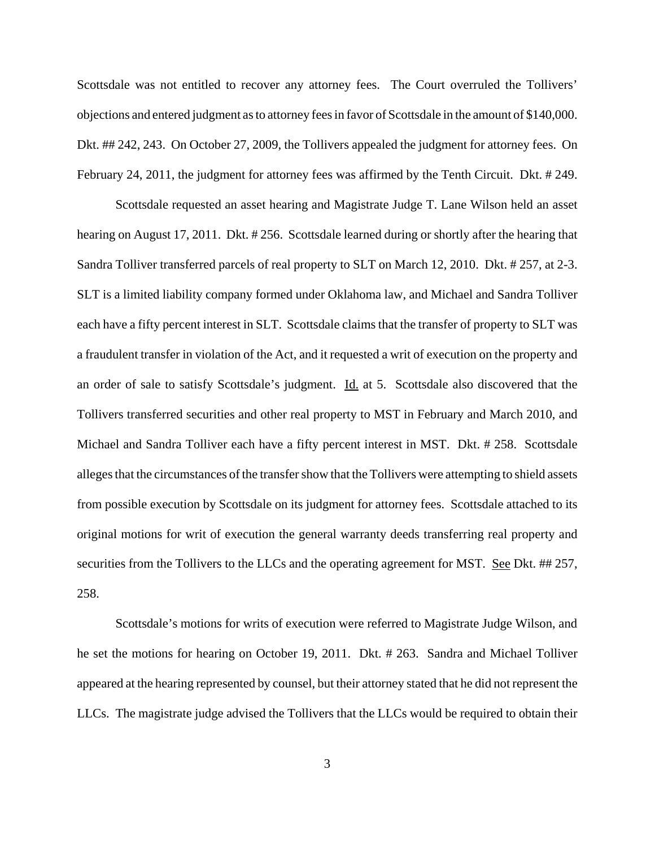Scottsdale was not entitled to recover any attorney fees. The Court overruled the Tollivers' objections and entered judgment as to attorney fees in favor of Scottsdale in the amount of \$140,000. Dkt. ## 242, 243. On October 27, 2009, the Tollivers appealed the judgment for attorney fees. On February 24, 2011, the judgment for attorney fees was affirmed by the Tenth Circuit. Dkt. # 249.

Scottsdale requested an asset hearing and Magistrate Judge T. Lane Wilson held an asset hearing on August 17, 2011. Dkt. # 256. Scottsdale learned during or shortly after the hearing that Sandra Tolliver transferred parcels of real property to SLT on March 12, 2010. Dkt. # 257, at 2-3. SLT is a limited liability company formed under Oklahoma law, and Michael and Sandra Tolliver each have a fifty percent interest in SLT. Scottsdale claims that the transfer of property to SLT was a fraudulent transfer in violation of the Act, and it requested a writ of execution on the property and an order of sale to satisfy Scottsdale's judgment. Id. at 5. Scottsdale also discovered that the Tollivers transferred securities and other real property to MST in February and March 2010, and Michael and Sandra Tolliver each have a fifty percent interest in MST. Dkt. # 258. Scottsdale alleges that the circumstances of the transfer show that the Tollivers were attempting to shield assets from possible execution by Scottsdale on its judgment for attorney fees. Scottsdale attached to its original motions for writ of execution the general warranty deeds transferring real property and securities from the Tollivers to the LLCs and the operating agreement for MST. See Dkt. ## 257, 258.

Scottsdale's motions for writs of execution were referred to Magistrate Judge Wilson, and he set the motions for hearing on October 19, 2011. Dkt. # 263. Sandra and Michael Tolliver appeared at the hearing represented by counsel, but their attorney stated that he did not represent the LLCs. The magistrate judge advised the Tollivers that the LLCs would be required to obtain their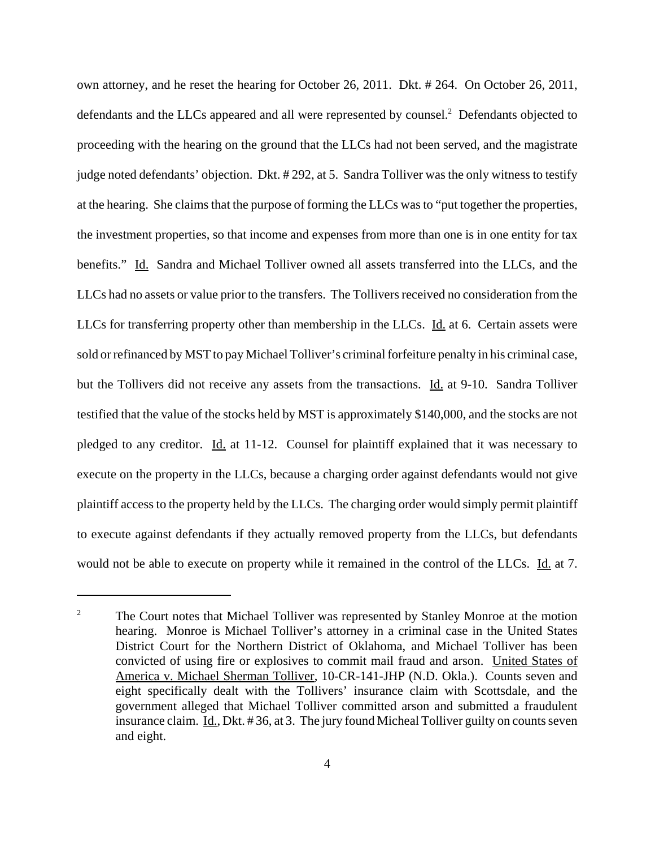own attorney, and he reset the hearing for October 26, 2011. Dkt. # 264. On October 26, 2011, defendants and the LLCs appeared and all were represented by counsel.<sup>2</sup> Defendants objected to proceeding with the hearing on the ground that the LLCs had not been served, and the magistrate judge noted defendants' objection. Dkt. # 292, at 5. Sandra Tolliver was the only witness to testify at the hearing. She claims that the purpose of forming the LLCs was to "put together the properties, the investment properties, so that income and expenses from more than one is in one entity for tax benefits." Id. Sandra and Michael Tolliver owned all assets transferred into the LLCs, and the LLCs had no assets or value prior to the transfers. The Tollivers received no consideration from the LLCs for transferring property other than membership in the LLCs. Id. at 6. Certain assets were sold or refinanced by MST to pay Michael Tolliver's criminal forfeiture penalty in his criminal case, but the Tollivers did not receive any assets from the transactions. Id. at 9-10. Sandra Tolliver testified that the value of the stocks held by MST is approximately \$140,000, and the stocks are not pledged to any creditor. Id. at 11-12. Counsel for plaintiff explained that it was necessary to execute on the property in the LLCs, because a charging order against defendants would not give plaintiff access to the property held by the LLCs. The charging order would simply permit plaintiff to execute against defendants if they actually removed property from the LLCs, but defendants would not be able to execute on property while it remained in the control of the LLCs. Id. at 7.

<sup>&</sup>lt;sup>2</sup> The Court notes that Michael Tolliver was represented by Stanley Monroe at the motion hearing. Monroe is Michael Tolliver's attorney in a criminal case in the United States District Court for the Northern District of Oklahoma, and Michael Tolliver has been convicted of using fire or explosives to commit mail fraud and arson. United States of America v. Michael Sherman Tolliver, 10-CR-141-JHP (N.D. Okla.). Counts seven and eight specifically dealt with the Tollivers' insurance claim with Scottsdale, and the government alleged that Michael Tolliver committed arson and submitted a fraudulent insurance claim. Id., Dkt. # 36, at 3. The jury found Micheal Tolliver guilty on counts seven and eight.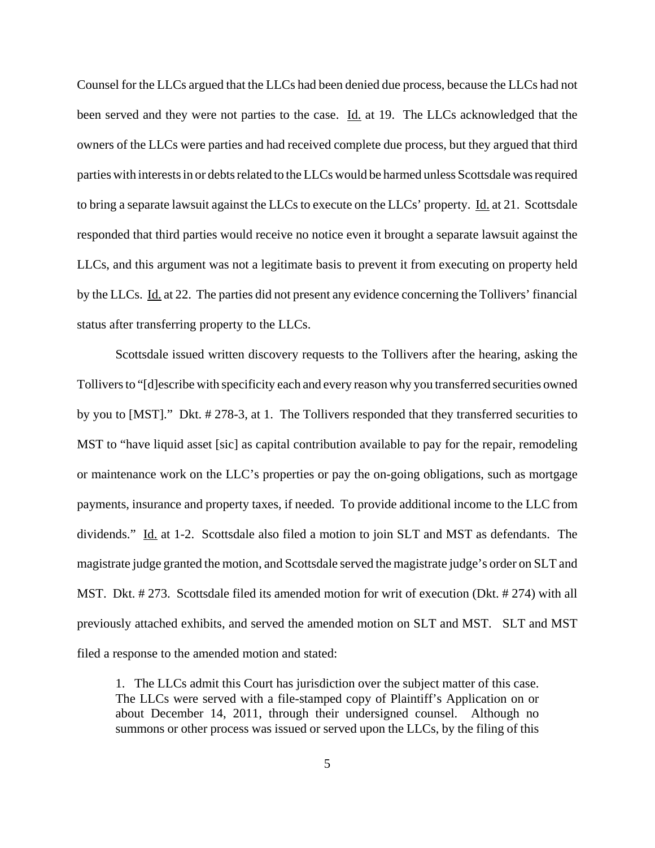Counsel for the LLCs argued that the LLCs had been denied due process, because the LLCs had not been served and they were not parties to the case. Id. at 19. The LLCs acknowledged that the owners of the LLCs were parties and had received complete due process, but they argued that third parties with interests in or debts related to the LLCs would be harmed unless Scottsdale was required to bring a separate lawsuit against the LLCs to execute on the LLCs' property. Id. at 21. Scottsdale responded that third parties would receive no notice even it brought a separate lawsuit against the LLCs, and this argument was not a legitimate basis to prevent it from executing on property held by the LLCs. Id. at 22. The parties did not present any evidence concerning the Tollivers' financial status after transferring property to the LLCs.

Scottsdale issued written discovery requests to the Tollivers after the hearing, asking the Tollivers to "[d]escribe with specificity each and every reason why you transferred securities owned by you to [MST]." Dkt. # 278-3, at 1. The Tollivers responded that they transferred securities to MST to "have liquid asset [sic] as capital contribution available to pay for the repair, remodeling or maintenance work on the LLC's properties or pay the on-going obligations, such as mortgage payments, insurance and property taxes, if needed. To provide additional income to the LLC from dividends." Id. at 1-2. Scottsdale also filed a motion to join SLT and MST as defendants. The magistrate judge granted the motion, and Scottsdale served the magistrate judge's order on SLT and MST. Dkt. # 273. Scottsdale filed its amended motion for writ of execution (Dkt. # 274) with all previously attached exhibits, and served the amended motion on SLT and MST. SLT and MST filed a response to the amended motion and stated:

1. The LLCs admit this Court has jurisdiction over the subject matter of this case. The LLCs were served with a file-stamped copy of Plaintiff's Application on or about December 14, 2011, through their undersigned counsel. Although no summons or other process was issued or served upon the LLCs, by the filing of this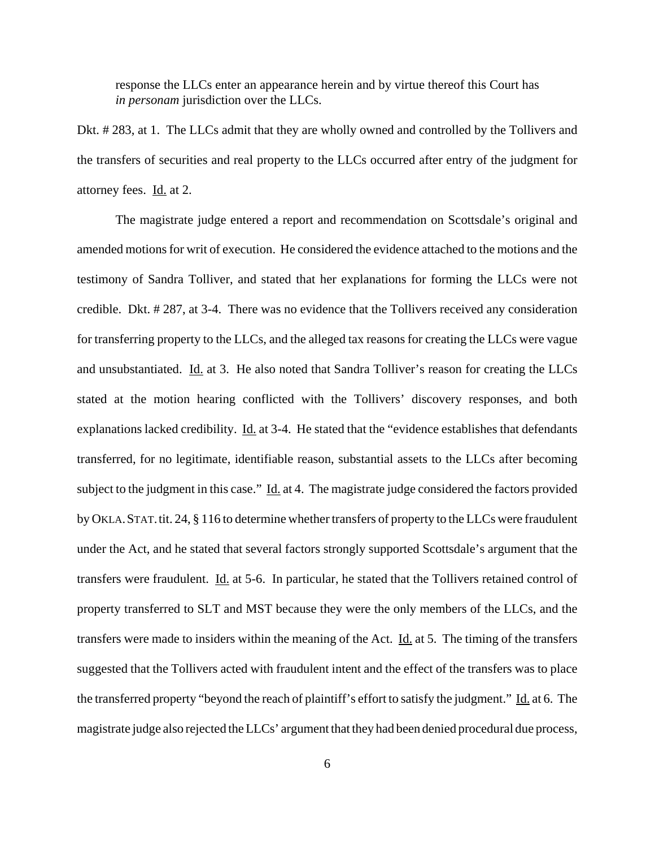response the LLCs enter an appearance herein and by virtue thereof this Court has *in personam* jurisdiction over the LLCs.

Dkt. # 283, at 1. The LLCs admit that they are wholly owned and controlled by the Tollivers and the transfers of securities and real property to the LLCs occurred after entry of the judgment for attorney fees. Id. at 2.

The magistrate judge entered a report and recommendation on Scottsdale's original and amended motions for writ of execution. He considered the evidence attached to the motions and the testimony of Sandra Tolliver, and stated that her explanations for forming the LLCs were not credible. Dkt. # 287, at 3-4. There was no evidence that the Tollivers received any consideration for transferring property to the LLCs, and the alleged tax reasons for creating the LLCs were vague and unsubstantiated. Id. at 3. He also noted that Sandra Tolliver's reason for creating the LLCs stated at the motion hearing conflicted with the Tollivers' discovery responses, and both explanations lacked credibility. Id. at 3-4. He stated that the "evidence establishes that defendants" transferred, for no legitimate, identifiable reason, substantial assets to the LLCs after becoming subject to the judgment in this case." Id. at 4. The magistrate judge considered the factors provided by OKLA. STAT. tit. 24, § 116 to determine whether transfers of property to the LLCs were fraudulent under the Act, and he stated that several factors strongly supported Scottsdale's argument that the transfers were fraudulent. Id. at 5-6. In particular, he stated that the Tollivers retained control of property transferred to SLT and MST because they were the only members of the LLCs, and the transfers were made to insiders within the meaning of the Act. Id. at 5. The timing of the transfers suggested that the Tollivers acted with fraudulent intent and the effect of the transfers was to place the transferred property "beyond the reach of plaintiff's effort to satisfy the judgment." Id. at 6. The magistrate judge also rejected the LLCs' argument that they had been denied procedural due process,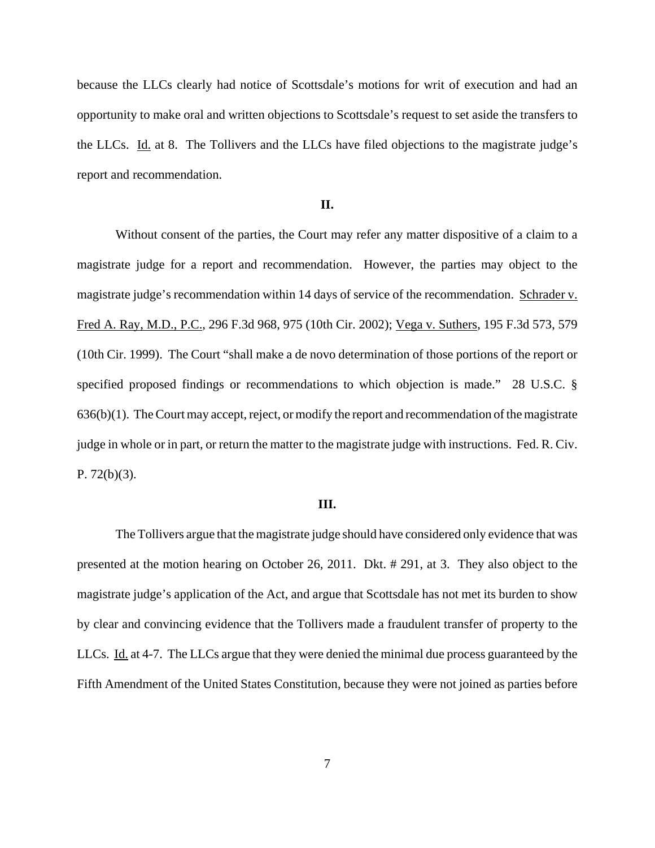because the LLCs clearly had notice of Scottsdale's motions for writ of execution and had an opportunity to make oral and written objections to Scottsdale's request to set aside the transfers to the LLCs. Id. at 8. The Tollivers and the LLCs have filed objections to the magistrate judge's report and recommendation.

## **II.**

Without consent of the parties, the Court may refer any matter dispositive of a claim to a magistrate judge for a report and recommendation. However, the parties may object to the magistrate judge's recommendation within 14 days of service of the recommendation. Schrader v. Fred A. Ray, M.D., P.C., 296 F.3d 968, 975 (10th Cir. 2002); Vega v. Suthers, 195 F.3d 573, 579 (10th Cir. 1999). The Court "shall make a de novo determination of those portions of the report or specified proposed findings or recommendations to which objection is made." 28 U.S.C. § 636(b)(1). The Court may accept, reject, or modify the report and recommendation of the magistrate judge in whole or in part, or return the matter to the magistrate judge with instructions. Fed. R. Civ. P.  $72(b)(3)$ .

## **III.**

The Tollivers argue that the magistrate judge should have considered only evidence that was presented at the motion hearing on October 26, 2011. Dkt. # 291, at 3. They also object to the magistrate judge's application of the Act, and argue that Scottsdale has not met its burden to show by clear and convincing evidence that the Tollivers made a fraudulent transfer of property to the LLCs. Id. at 4-7. The LLCs argue that they were denied the minimal due process guaranteed by the Fifth Amendment of the United States Constitution, because they were not joined as parties before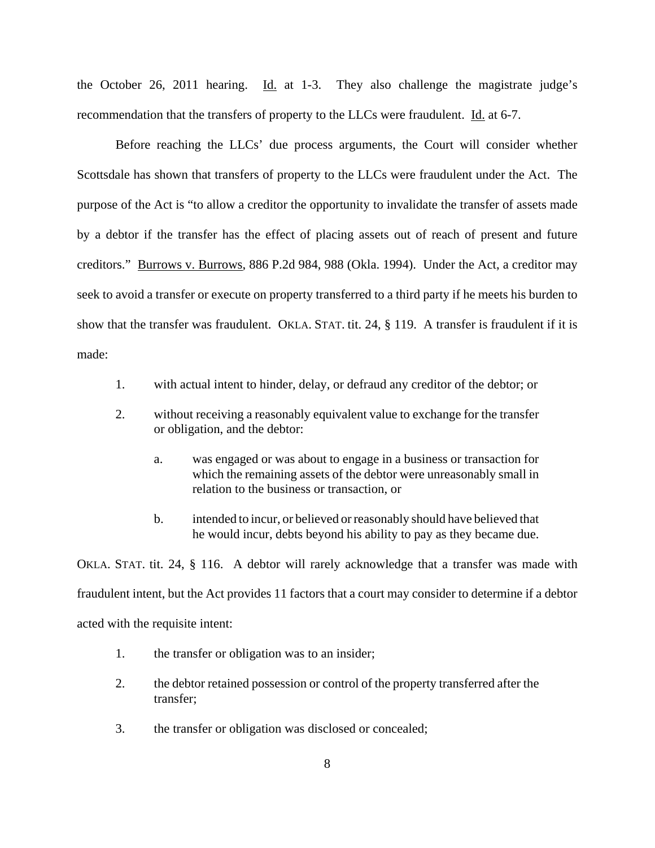the October 26, 2011 hearing. Id. at 1-3. They also challenge the magistrate judge's recommendation that the transfers of property to the LLCs were fraudulent. Id. at 6-7.

Before reaching the LLCs' due process arguments, the Court will consider whether Scottsdale has shown that transfers of property to the LLCs were fraudulent under the Act. The purpose of the Act is "to allow a creditor the opportunity to invalidate the transfer of assets made by a debtor if the transfer has the effect of placing assets out of reach of present and future creditors." Burrows v. Burrows, 886 P.2d 984, 988 (Okla. 1994). Under the Act, a creditor may seek to avoid a transfer or execute on property transferred to a third party if he meets his burden to show that the transfer was fraudulent. OKLA. STAT. tit. 24, § 119. A transfer is fraudulent if it is made:

- 1. with actual intent to hinder, delay, or defraud any creditor of the debtor; or
- 2. without receiving a reasonably equivalent value to exchange for the transfer or obligation, and the debtor:
	- a. was engaged or was about to engage in a business or transaction for which the remaining assets of the debtor were unreasonably small in relation to the business or transaction, or
	- b. intended to incur, or believed or reasonably should have believed that he would incur, debts beyond his ability to pay as they became due.

OKLA. STAT. tit. 24, § 116. A debtor will rarely acknowledge that a transfer was made with fraudulent intent, but the Act provides 11 factors that a court may consider to determine if a debtor acted with the requisite intent:

- 1. the transfer or obligation was to an insider;
- 2. the debtor retained possession or control of the property transferred after the transfer;
- 3. the transfer or obligation was disclosed or concealed;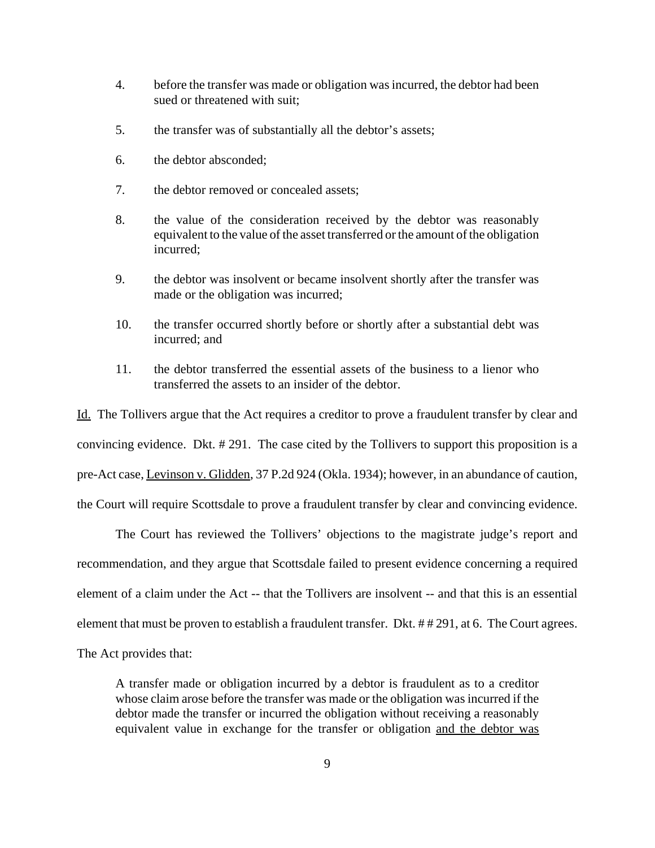- 4. before the transfer was made or obligation was incurred, the debtor had been sued or threatened with suit;
- 5. the transfer was of substantially all the debtor's assets;
- 6. the debtor absconded;
- 7. the debtor removed or concealed assets;
- 8. the value of the consideration received by the debtor was reasonably equivalent to the value of the asset transferred or the amount of the obligation incurred;
- 9. the debtor was insolvent or became insolvent shortly after the transfer was made or the obligation was incurred;
- 10. the transfer occurred shortly before or shortly after a substantial debt was incurred; and
- 11. the debtor transferred the essential assets of the business to a lienor who transferred the assets to an insider of the debtor.

Id. The Tollivers argue that the Act requires a creditor to prove a fraudulent transfer by clear and convincing evidence. Dkt. # 291. The case cited by the Tollivers to support this proposition is a pre-Act case, Levinson v. Glidden, 37 P.2d 924 (Okla. 1934); however, in an abundance of caution, the Court will require Scottsdale to prove a fraudulent transfer by clear and convincing evidence.

The Court has reviewed the Tollivers' objections to the magistrate judge's report and recommendation, and they argue that Scottsdale failed to present evidence concerning a required element of a claim under the Act -- that the Tollivers are insolvent -- and that this is an essential element that must be proven to establish a fraudulent transfer. Dkt. # # 291, at 6. The Court agrees. The Act provides that:

A transfer made or obligation incurred by a debtor is fraudulent as to a creditor whose claim arose before the transfer was made or the obligation was incurred if the debtor made the transfer or incurred the obligation without receiving a reasonably equivalent value in exchange for the transfer or obligation and the debtor was